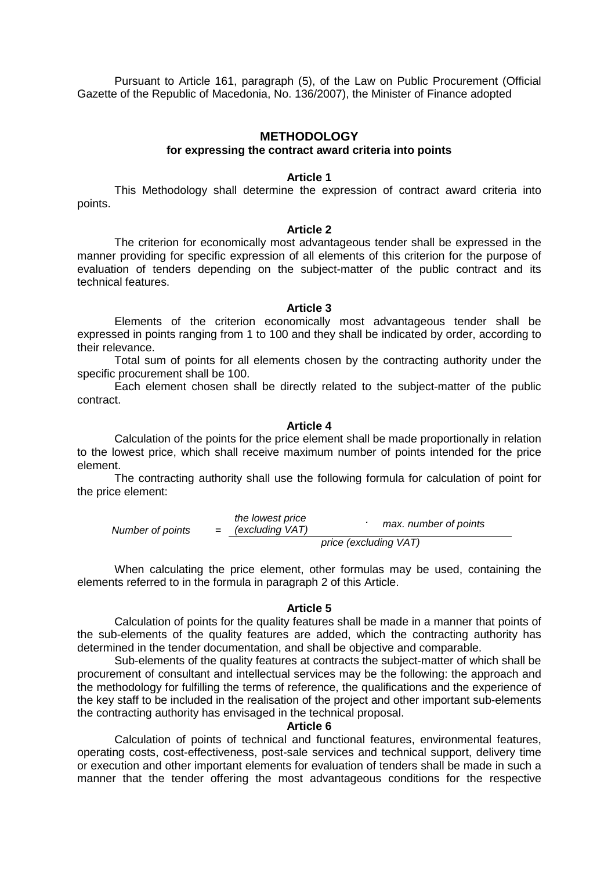Pursuant to Article 161, paragraph (5), of the Law on Public Procurement (Official Gazette of the Republic of Macedonia, No. 136/2007), the Minister of Finance adopted

## **METHODOLOGY**

## **for expressing the contract award criteria into points**

#### **Article 1**

 This Methodology shall determine the expression of contract award criteria into points.

#### **Article 2**

The criterion for economically most advantageous tender shall be expressed in the manner providing for specific expression of all elements of this criterion for the purpose of evaluation of tenders depending on the subject-matter of the public contract and its technical features.

### **Article 3**

Elements of the criterion economically most advantageous tender shall be expressed in points ranging from 1 to 100 and they shall be indicated by order, according to their relevance.

Total sum of points for all elements chosen by the contracting authority under the specific procurement shall be 100.

Each element chosen shall be directly related to the subject-matter of the public contract.

# **Article 4**

Calculation of the points for the price element shall be made proportionally in relation to the lowest price, which shall receive maximum number of points intended for the price element.

The contracting authority shall use the following formula for calculation of point for the price element:

the lowest price (excluding VAT) we lowest price<br>Number of points = (excluding VAT) price (excluding VAT)

When calculating the price element, other formulas may be used, containing the elements referred to in the formula in paragraph 2 of this Article.

## **Article 5**

Calculation of points for the quality features shall be made in a manner that points of the sub-elements of the quality features are added, which the contracting authority has determined in the tender documentation, and shall be objective and comparable.

Sub-elements of the quality features at contracts the subject-matter of which shall be procurement of consultant and intellectual services may be the following: the approach and the methodology for fulfilling the terms of reference, the qualifications and the experience of the key staff to be included in the realisation of the project and other important sub-elements the contracting authority has envisaged in the technical proposal.

## **Article 6**

Calculation of points of technical and functional features, environmental features, operating costs, cost-effectiveness, post-sale services and technical support, delivery time or execution and other important elements for evaluation of tenders shall be made in such a manner that the tender offering the most advantageous conditions for the respective